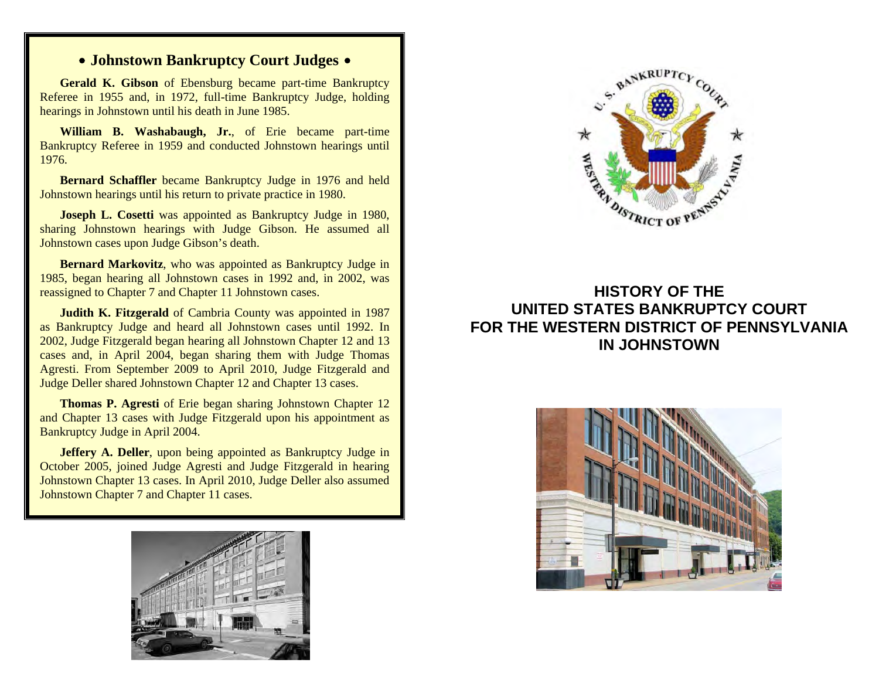## **• Johnstown Bankruptcy Court Judges •**

**Gerald K. Gibson** of Ebensburg became part-time Bankruptcy Referee in 1955 and, in 1972, full-time Bankruptcy Judge, holding hearings in Johnstown until his death in June 1985.

**William B. Washabaugh, Jr.**, of Erie became part-time Bankruptcy Referee in 1959 and conducted Johnstown hearings until 1976.

**Bernard Schaffler** became Bankruptcy Judge in 1976 and held Johnstown hearings until his return to private practice in 1980.

**Joseph L. Cosetti** was appointed as Bankruptcy Judge in 1980, sharing Johnstown hearings with Judge Gibson. He assumed all Johnstown cases upon Judge Gibson's death.

**Bernard Markovitz**, who was appointed as Bankruptcy Judge in 1985, began hearing all Johnstown cases in 1992 and, in 2002, was reassigned to Chapter 7 and Chapter 11 Johnstown cases.

**Judith K. Fitzgerald** of Cambria County was appointed in 1987 as Bankruptcy Judge and heard all Johnstown cases until 1992. In 2002, Judge Fitzgerald began hearing all Johnstown Chapter 12 and 13 cases and, in April 2004, began sharing them with Judge Thomas Agresti. From September 2009 to April 2010, Judge Fitzgerald and Judge Deller shared Johnstown Chapter 12 and Chapter 13 cases.

**Thomas P. Agresti** of Erie began sharing Johnstown Chapter 12 and Chapter 13 cases with Judge Fitzgerald upon his appointment as Bankruptcy Judge in April 2004.

**Jeffery A. Deller**, upon being appointed as Bankruptcy Judge in October 2005, joined Judge Agresti and Judge Fitzgerald in hearing Johnstown Chapter 13 cases. In April 2010, Judge Deller also assumed Johnstown Chapter 7 and Chapter 11 cases.





## **HISTORY OF THE UNITED STATES BANKRUPTCY COURT FOR THE WESTERN DISTRICT OF PENNSYLVANIA IN JOHNSTOWN**